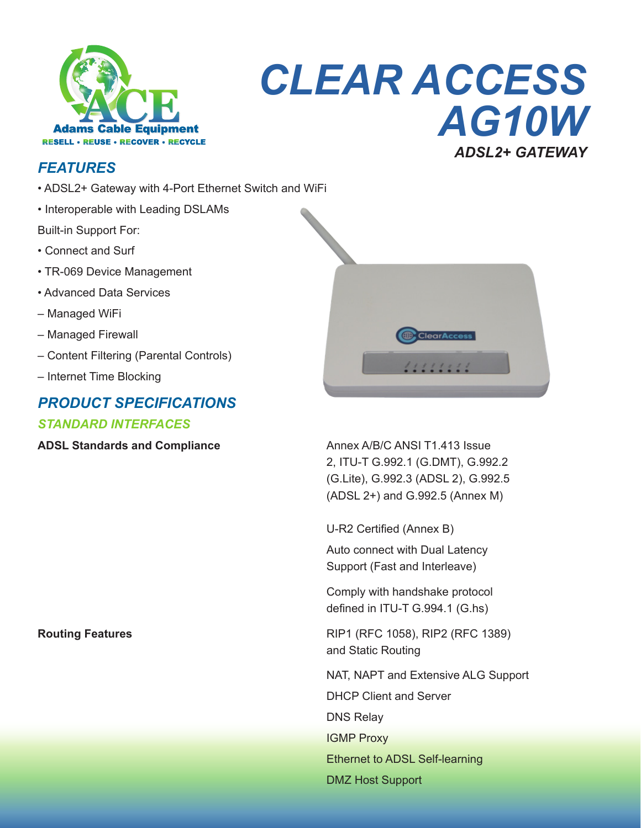

# **CLEAR ACCESS** AG10W **ADSL2+ GATEWAY**

#### **FEATURES**

- ADSL2+ Gateway with 4-Port Ethernet Switch and WiFi
- Interoperable with Leading DSLAMs

Built-in Support For:

- Connect and Surf
- TR-069 Device Management
- Advanced Data Services
- Managed WiFi
- Managed Firewall
- Content Filtering (Parental Controls)
- Internet Time Blocking

#### **PRODUCT SPECIFICATIONS**

#### **STANDARD INTERFACES**

**ADSL Standards and Compliance** 

**Routing Features** 



Annex A/B/C ANSI T1.413 Issue 2, ITU-T G.992.1 (G.DMT), G.992.2 (G.Lite), G.992.3 (ADSL 2), G.992.5 (ADSL 2+) and G.992.5 (Annex M)

U-R2 Certified (Annex B) Auto connect with Dual Latency Support (Fast and Interleave)

Comply with handshake protocol defined in ITU-T G.994.1 (G.hs)

RIP1 (RFC 1058), RIP2 (RFC 1389) and Static Routing

NAT, NAPT and Extensive ALG Support **DHCP Client and Server DNS Relav IGMP Proxy Ethernet to ADSL Self-learning DMZ Host Support**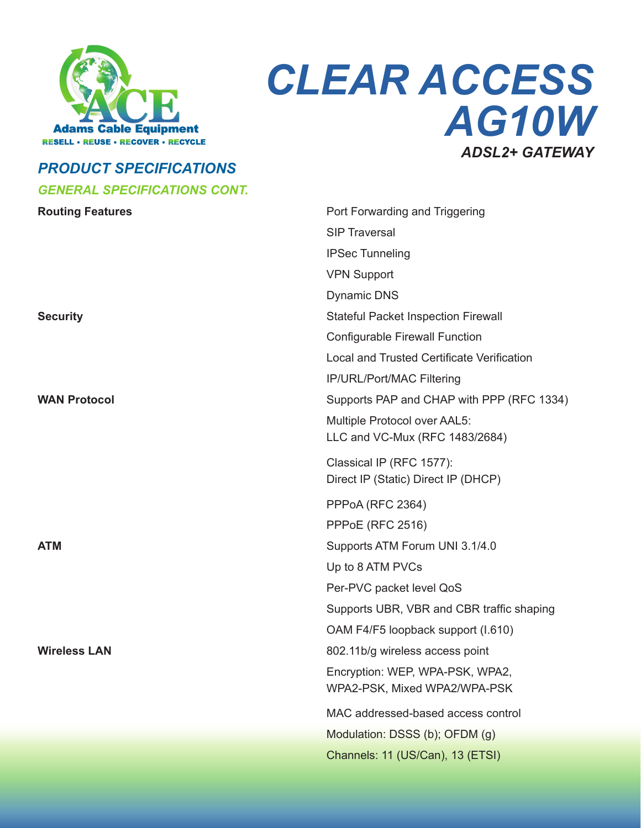

# *CLEAR ACCESS AG10W ADSL2+ GATEWAY*

### *PRODUCT SPECIFICATIONS GENERAL SPECIFICATIONS CONT.*

| <b>Routing Features</b> | Port Forwarding and Triggering                    |
|-------------------------|---------------------------------------------------|
|                         | <b>SIP Traversal</b>                              |
|                         | <b>IPSec Tunneling</b>                            |
|                         | <b>VPN Support</b>                                |
|                         | <b>Dynamic DNS</b>                                |
| <b>Security</b>         | <b>Stateful Packet Inspection Firewall</b>        |
|                         | <b>Configurable Firewall Function</b>             |
|                         | <b>Local and Trusted Certificate Verification</b> |
|                         | IP/URL/Port/MAC Filtering                         |
| <b>WAN Protocol</b>     | Supports PAP and CHAP with PPP (RFC 1334)         |
|                         | Multiple Protocol over AAL5:                      |
|                         | LLC and VC-Mux (RFC 1483/2684)                    |
|                         | Classical IP (RFC 1577):                          |
|                         | Direct IP (Static) Direct IP (DHCP)               |
|                         | PPPoA (RFC 2364)                                  |
|                         | <b>PPPoE (RFC 2516)</b>                           |
| <b>ATM</b>              | Supports ATM Forum UNI 3.1/4.0                    |
|                         | Up to 8 ATM PVCs                                  |
|                         | Per-PVC packet level QoS                          |
|                         | Supports UBR, VBR and CBR traffic shaping         |
|                         | OAM F4/F5 loopback support (I.610)                |
| <b>Wireless LAN</b>     | 802.11b/g wireless access point                   |
|                         | Encryption: WEP, WPA-PSK, WPA2,                   |
|                         | WPA2-PSK, Mixed WPA2/WPA-PSK                      |
|                         | MAC addressed-based access control                |
|                         | Modulation: DSSS (b); OFDM (g)                    |
|                         | Channels: 11 (US/Can), 13 (ETSI)                  |
|                         |                                                   |